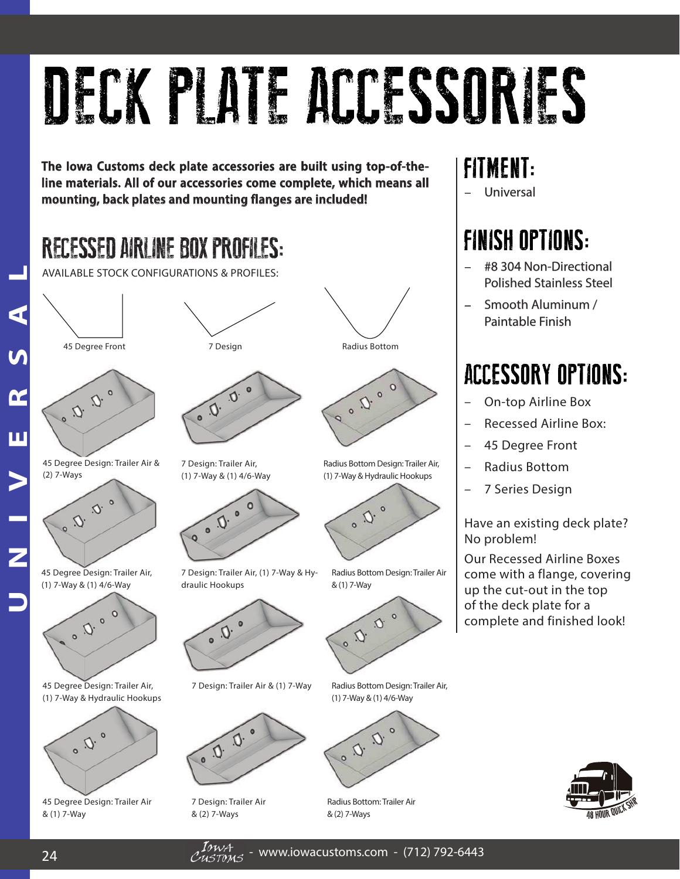# DECK PLATE ACCESSORIES

The lowa Customs deck plate accessories are built using top-of-theline materials. All of our accessories come complete, which means all **mounting, back plates and mounting flanges are included!** 

## RECESSED AIRLINE BOX PROFILES:



45 Degree Design: Trailer Air & (2) 7-Ways



45 Degree Design: Trailer Air, (1) 7-Way & (1) 4/6-Way



45 Degree Design: Trailer Air, (1) 7-Way & Hydraulic Hookups



45 Degree Design: Trailer Air & (1) 7-Way

45 Degree Front TDesign and TDesign Radius Bottom AVAILABLE STOCK CONFIGURATIONS & PROFILES:<br>
45 Degree Front<br>
2. (2) . (2) . (2) . (2) . (2) . (2) . (2) . (2) . (2) . (2) . (2) . (2) . (2) . (2) . (2) . (2) . (2) . (2) . (2) . (2) . (2) . (2) . (2) . (2) . (2) . (2) . (2



7 Design: Trailer Air, (1) 7-Way & (1) 4/6-Way



7 Design: Trailer Air, (1) 7-Way & Hydraulic Hookups



7 Design: Trailer Air & (1) 7-Way



7 Design: Trailer Air & (2) 7-Ways





Radius Bottom Design: Trailer Air, (1) 7-Way & Hydraulic Hookups



Radius Bottom Design: Trailer Air & (1) 7-Way



Radius Bottom Design: Trailer Air, (1) 7-Way & (1) 4/6-Way



Radius Bottom: Trailer Air

#### **FITMENT:**

– Universal niversal

### **FINISH OPTIONS:**

- #8 304 Non-Directional 8 304 Non-Directional Polished Stainless Steel
- Smooth Aluminum / mooth Aluminum / Paintable Finish

### **ACCESSORY OPTIONS:**

- On-top Airline Box
- Recessed Airline Box:
- 45 Degree Front
- Radius Bottom
- 7 Series Design

Have an existing deck plate? No problem!

Our Recessed Airline Boxes come with a flange, covering up the cut-out in the top of the deck plate for a complete and finished look!